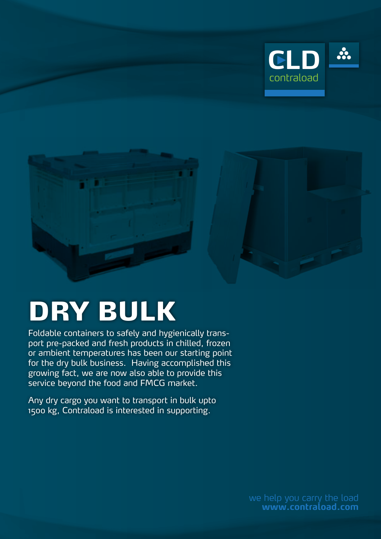



## DRY BULK

Foldable containers to safely and hygienically transport pre-packed and fresh products in chilled, frozen or ambient temperatures has been our starting point for the dry bulk business. Having accomplished this growing fact, we are now also able to provide this service beyond the food and FMCG market.

Any dry cargo you want to transport in bulk upto 1500 kg, Contraload is interested in supporting.

> we help you carry the load **www.contraload.com**